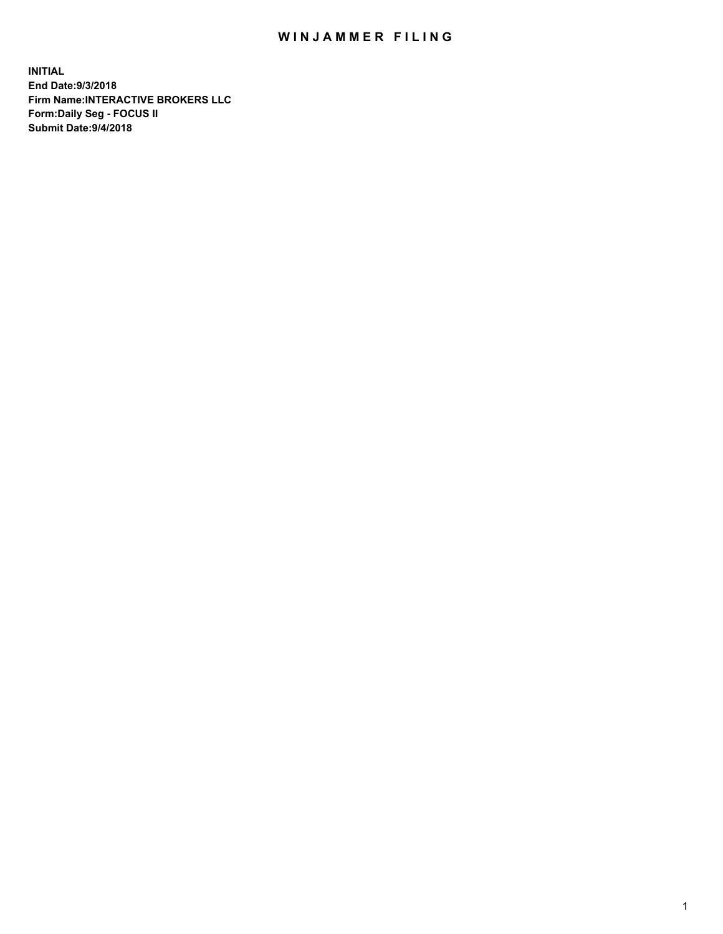## WIN JAMMER FILING

**INITIAL End Date:9/3/2018 Firm Name:INTERACTIVE BROKERS LLC Form:Daily Seg - FOCUS II Submit Date:9/4/2018**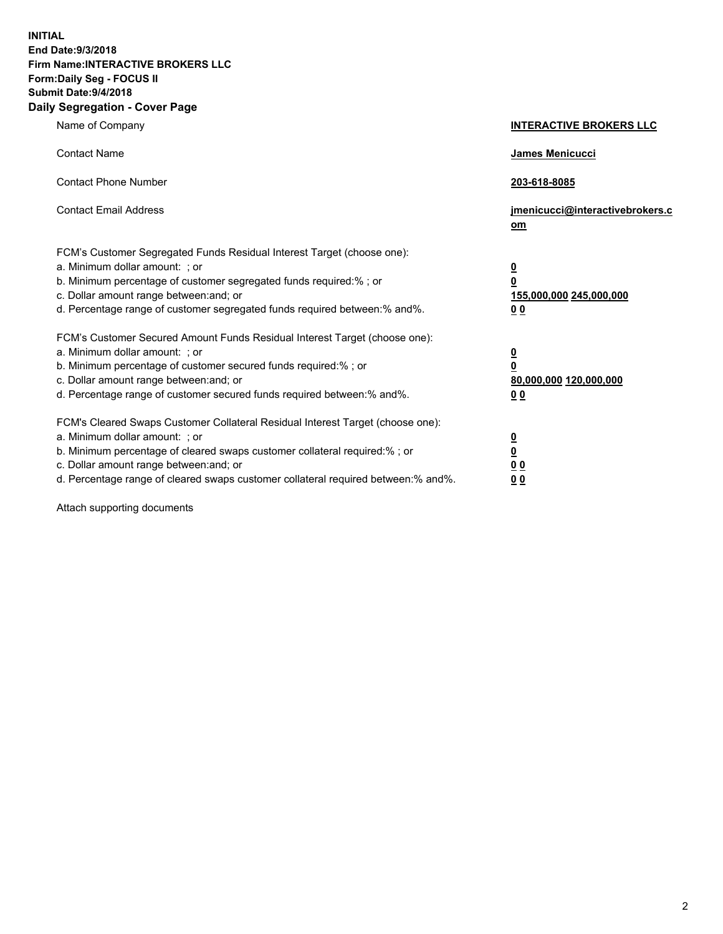**INITIAL End Date:9/3/2018 Firm Name:INTERACTIVE BROKERS LLC Form:Daily Seg - FOCUS II Submit Date:9/4/2018 Daily Segregation - Cover Page**

| Name of Company                                                                                                                                                                                                                                                                                                                | <b>INTERACTIVE BROKERS LLC</b>                                                      |
|--------------------------------------------------------------------------------------------------------------------------------------------------------------------------------------------------------------------------------------------------------------------------------------------------------------------------------|-------------------------------------------------------------------------------------|
| <b>Contact Name</b>                                                                                                                                                                                                                                                                                                            | James Menicucci                                                                     |
| <b>Contact Phone Number</b>                                                                                                                                                                                                                                                                                                    | 203-618-8085                                                                        |
| <b>Contact Email Address</b>                                                                                                                                                                                                                                                                                                   | jmenicucci@interactivebrokers.c<br>om                                               |
| FCM's Customer Segregated Funds Residual Interest Target (choose one):<br>a. Minimum dollar amount: ; or<br>b. Minimum percentage of customer segregated funds required:% ; or<br>c. Dollar amount range between: and; or<br>d. Percentage range of customer segregated funds required between:% and%.                         | $\overline{\mathbf{0}}$<br>$\overline{\mathbf{0}}$<br>155,000,000 245,000,000<br>00 |
| FCM's Customer Secured Amount Funds Residual Interest Target (choose one):<br>a. Minimum dollar amount: ; or<br>b. Minimum percentage of customer secured funds required:% ; or<br>c. Dollar amount range between: and; or<br>d. Percentage range of customer secured funds required between:% and%.                           | $\overline{\mathbf{0}}$<br>$\pmb{0}$<br>80,000,000 120,000,000<br>00                |
| FCM's Cleared Swaps Customer Collateral Residual Interest Target (choose one):<br>a. Minimum dollar amount: ; or<br>b. Minimum percentage of cleared swaps customer collateral required:% ; or<br>c. Dollar amount range between: and; or<br>d. Percentage range of cleared swaps customer collateral required between:% and%. | $\overline{\mathbf{0}}$<br>$\underline{\mathbf{0}}$<br>0 <sub>0</sub><br>00         |

Attach supporting documents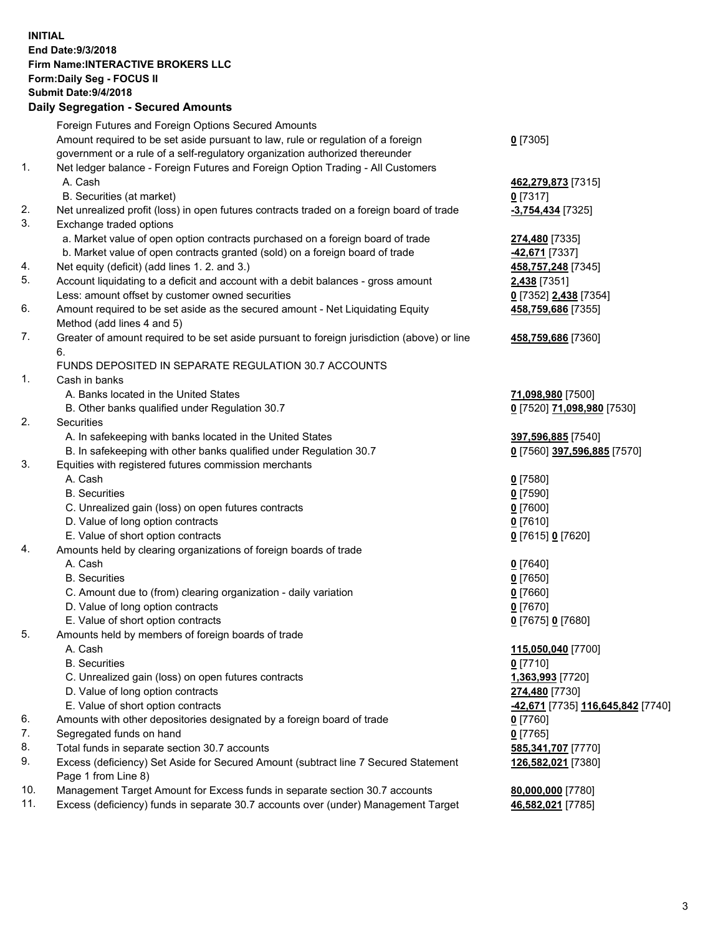## **INITIAL End Date:9/3/2018 Firm Name:INTERACTIVE BROKERS LLC Form:Daily Seg - FOCUS II Submit Date:9/4/2018 Daily Segregation - Secured Amounts**

|     | Daily Ocglegation - Occarea Anioants                                                                       |                                   |
|-----|------------------------------------------------------------------------------------------------------------|-----------------------------------|
|     | Foreign Futures and Foreign Options Secured Amounts                                                        |                                   |
|     | Amount required to be set aside pursuant to law, rule or regulation of a foreign                           | $0$ [7305]                        |
|     | government or a rule of a self-regulatory organization authorized thereunder                               |                                   |
| 1.  | Net ledger balance - Foreign Futures and Foreign Option Trading - All Customers                            |                                   |
|     | A. Cash                                                                                                    | 462,279,873 [7315]                |
|     | B. Securities (at market)                                                                                  | $0$ [7317]                        |
| 2.  | Net unrealized profit (loss) in open futures contracts traded on a foreign board of trade                  | $-3,754,434$ [7325]               |
| 3.  | Exchange traded options                                                                                    |                                   |
|     | a. Market value of open option contracts purchased on a foreign board of trade                             | 274,480 [7335]                    |
|     | b. Market value of open contracts granted (sold) on a foreign board of trade                               | 42,671 [7337]                     |
| 4.  | Net equity (deficit) (add lines 1. 2. and 3.)                                                              | 458,757,248 [7345]                |
| 5.  | Account liquidating to a deficit and account with a debit balances - gross amount                          | 2,438 [7351]                      |
|     | Less: amount offset by customer owned securities                                                           | 0 [7352] 2,438 [7354]             |
| 6.  | Amount required to be set aside as the secured amount - Net Liquidating Equity                             | 458,759,686 [7355]                |
|     | Method (add lines 4 and 5)                                                                                 |                                   |
| 7.  | Greater of amount required to be set aside pursuant to foreign jurisdiction (above) or line                | 458,759,686 [7360]                |
|     | 6.                                                                                                         |                                   |
|     | FUNDS DEPOSITED IN SEPARATE REGULATION 30.7 ACCOUNTS                                                       |                                   |
| 1.  | Cash in banks                                                                                              |                                   |
|     | A. Banks located in the United States                                                                      | 71,098,980 [7500]                 |
|     | B. Other banks qualified under Regulation 30.7                                                             | 0 [7520] 71,098,980 [7530]        |
| 2.  | Securities                                                                                                 |                                   |
|     | A. In safekeeping with banks located in the United States                                                  | 397,596,885 [7540]                |
|     | B. In safekeeping with other banks qualified under Regulation 30.7                                         | 0 [7560] 397,596,885 [7570]       |
| 3.  | Equities with registered futures commission merchants                                                      |                                   |
|     | A. Cash                                                                                                    | $0$ [7580]                        |
|     | <b>B.</b> Securities                                                                                       | $0$ [7590]                        |
|     | C. Unrealized gain (loss) on open futures contracts                                                        | $0$ [7600]                        |
|     | D. Value of long option contracts                                                                          | $0$ [7610]                        |
|     | E. Value of short option contracts                                                                         | 0 [7615] 0 [7620]                 |
| 4.  | Amounts held by clearing organizations of foreign boards of trade                                          |                                   |
|     | A. Cash                                                                                                    | $0$ [7640]                        |
|     | <b>B.</b> Securities                                                                                       | $0$ [7650]                        |
|     | C. Amount due to (from) clearing organization - daily variation                                            | $0$ [7660]                        |
|     | D. Value of long option contracts                                                                          | $0$ [7670]                        |
|     | E. Value of short option contracts                                                                         | 0 [7675] 0 [7680]                 |
| 5.  | Amounts held by members of foreign boards of trade                                                         |                                   |
|     | A. Cash                                                                                                    | 115,050,040 [7700]                |
|     | <b>B.</b> Securities                                                                                       | $0$ [7710]                        |
|     | C. Unrealized gain (loss) on open futures contracts                                                        | 1,363,993 [7720]                  |
|     | D. Value of long option contracts                                                                          | 274,480 [7730]                    |
|     | E. Value of short option contracts                                                                         | -42,671 [7735] 116,645,842 [7740] |
| 6.  | Amounts with other depositories designated by a foreign board of trade                                     | 0 [7760]                          |
| 7.  | Segregated funds on hand                                                                                   | $0$ [7765]                        |
| 8.  | Total funds in separate section 30.7 accounts                                                              | 585,341,707 [7770]                |
| 9.  | Excess (deficiency) Set Aside for Secured Amount (subtract line 7 Secured Statement<br>Page 1 from Line 8) | 126,582,021 [7380]                |
| 10. | Management Target Amount for Excess funds in separate section 30.7 accounts                                | 80,000,000 [7780]                 |
| 11. | Excess (deficiency) funds in separate 30.7 accounts over (under) Management Target                         | 46,582,021 [7785]                 |
|     |                                                                                                            |                                   |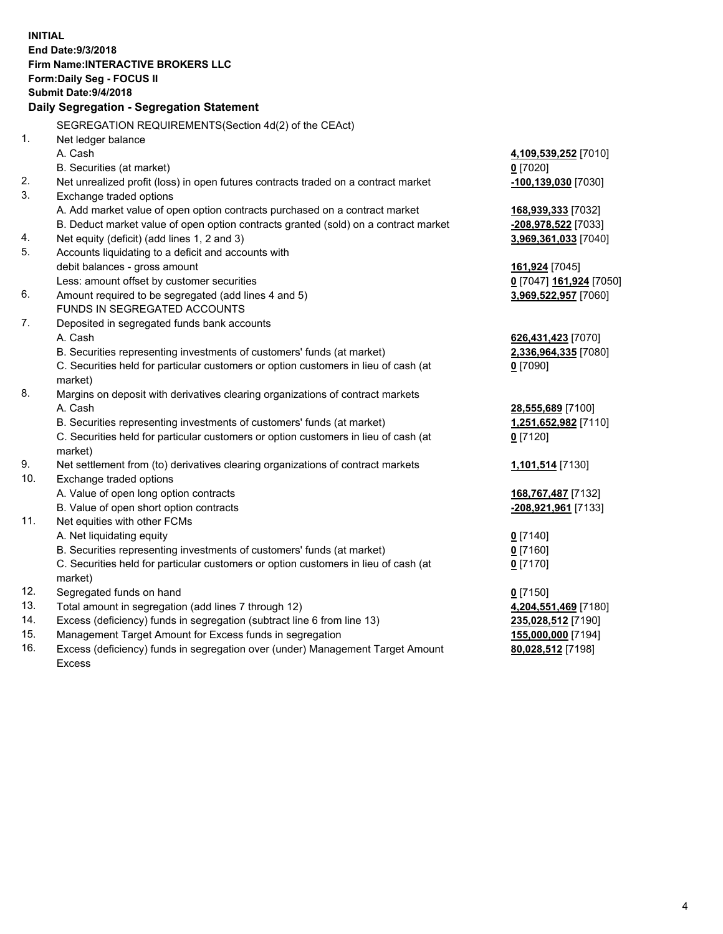**INITIAL End Date:9/3/2018 Firm Name:INTERACTIVE BROKERS LLC Form:Daily Seg - FOCUS II Submit Date:9/4/2018 Daily Segregation - Segregation Statement** SEGREGATION REQUIREMENTS(Section 4d(2) of the CEAct) 1. Net ledger balance A. Cash **4,109,539,252** [7010] B. Securities (at market) **0** [7020] 2. Net unrealized profit (loss) in open futures contracts traded on a contract market **-100,139,030** [7030] 3. Exchange traded options A. Add market value of open option contracts purchased on a contract market **168,939,333** [7032] B. Deduct market value of open option contracts granted (sold) on a contract market **-208,978,522** [7033] 4. Net equity (deficit) (add lines 1, 2 and 3) **3,969,361,033** [7040] 5. Accounts liquidating to a deficit and accounts with debit balances - gross amount **161,924** [7045] Less: amount offset by customer securities **0** [7047] **161,924** [7050] 6. Amount required to be segregated (add lines 4 and 5) **3,969,522,957** [7060] FUNDS IN SEGREGATED ACCOUNTS 7. Deposited in segregated funds bank accounts A. Cash **626,431,423** [7070] B. Securities representing investments of customers' funds (at market) **2,336,964,335** [7080] C. Securities held for particular customers or option customers in lieu of cash (at market) **0** [7090] 8. Margins on deposit with derivatives clearing organizations of contract markets A. Cash **28,555,689** [7100] B. Securities representing investments of customers' funds (at market) **1,251,652,982** [7110] C. Securities held for particular customers or option customers in lieu of cash (at market) **0** [7120] 9. Net settlement from (to) derivatives clearing organizations of contract markets **1,101,514** [7130] 10. Exchange traded options A. Value of open long option contracts **168,767,487** [7132] B. Value of open short option contracts **-208,921,961** [7133] 11. Net equities with other FCMs A. Net liquidating equity **0** [7140] B. Securities representing investments of customers' funds (at market) **0** [7160] C. Securities held for particular customers or option customers in lieu of cash (at market) **0** [7170] 12. Segregated funds on hand **0** [7150] 13. Total amount in segregation (add lines 7 through 12) **4,204,551,469** [7180] 14. Excess (deficiency) funds in segregation (subtract line 6 from line 13) **235,028,512** [7190] 15. Management Target Amount for Excess funds in segregation **155,000,000** [7194] 16. Excess (deficiency) funds in segregation over (under) Management Target Amount **80,028,512** [7198]

Excess